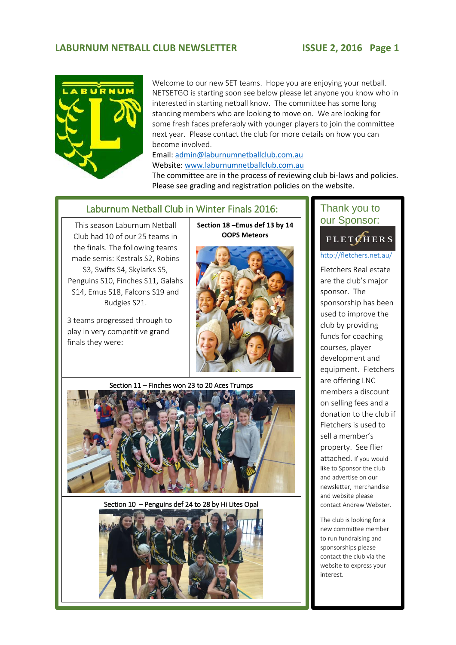### LABURNUM NETBALL CLUB NEWSLETTER **ISSUE 2, 2016** Page 1



This season Laburnum Netball Club had 10 of our 25 teams in the finals. The following teams made semis: Kestrals S2, Robins S3, Swifts S4, Skylarks S5, Penguins S10, Finches S11, Galahs S14, Emus S18, Falcons S19 and Budgies S21.

3 teams progressed through to play in very competitive grand

finals they were:

Welcome to our new SET teams. Hope you are enjoying your netball. NETSETGO is starting soon see below please let anyone you know who in interested in starting netball know. The committee has some long standing members who are looking to move on. We are looking for some fresh faces preferably with younger players to join the committee next year. Please contact the club for more details on how you can become involved.

Email[: admin@laburnumnetballclub.com.au](mailto:admin@laburnumnetballclub.com.au)

Website: [www.laburnumnetballclub.com.au](http://www.laburnumnetballclub.com.au/) 

The committee are in the process of reviewing club bi-laws and policies. Please see grading and registration policies on the website.

## Laburnum Netball Club in Winter Finals 2016:

**Section 18 –Emus def 13 by 14 OOPS Meteors**

Section 11 – Finches won 23 to 20 Aces Trumps

Section 10 – Penguins def 24 to 28 by Hi Lites Opal



## Thank you to our Sponsor:

### **FLETCHERS** 2.

### <http://fletchers.net.au/>

3.

Fletchers Real estate are the club's major sponsor. The sponsorship has been used to improve the club by providing funds for coaching courses, player development and equipment. Fletchers are offering LNC members a discount on selling fees and a donation to the club if Fletchers is used to sell a member's property. See flier attached. If you would like to Sponsor the club and advertise on our newsletter, merchandise and website please contact Andrew Webster.

The club is looking for a new committee member to run fundraising and sponsorships please contact the club via the website to express your interest.